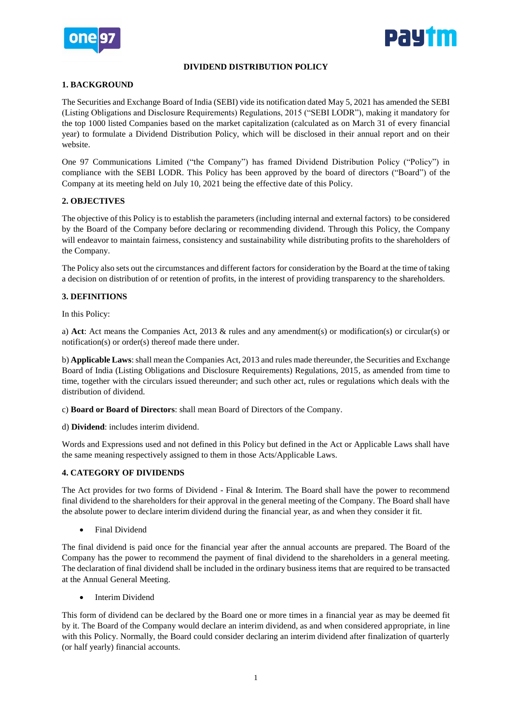



## **DIVIDEND DISTRIBUTION POLICY**

#### **1. BACKGROUND**

The Securities and Exchange Board of India (SEBI) vide its notification dated May 5, 2021 has amended the SEBI (Listing Obligations and Disclosure Requirements) Regulations, 2015 ("SEBI LODR"), making it mandatory for the top 1000 listed Companies based on the market capitalization (calculated as on March 31 of every financial year) to formulate a Dividend Distribution Policy, which will be disclosed in their annual report and on their website.

One 97 Communications Limited ("the Company") has framed Dividend Distribution Policy ("Policy") in compliance with the SEBI LODR. This Policy has been approved by the board of directors ("Board") of the Company at its meeting held on July 10, 2021 being the effective date of this Policy.

## **2. OBJECTIVES**

The objective of this Policy is to establish the parameters (including internal and external factors) to be considered by the Board of the Company before declaring or recommending dividend. Through this Policy, the Company will endeavor to maintain fairness, consistency and sustainability while distributing profits to the shareholders of the Company.

The Policy also sets out the circumstances and different factors for consideration by the Board at the time of taking a decision on distribution of or retention of profits, in the interest of providing transparency to the shareholders.

#### **3. DEFINITIONS**

In this Policy:

a) **Act**: Act means the Companies Act, 2013 & rules and any amendment(s) or modification(s) or circular(s) or notification(s) or order(s) thereof made there under.

b) **Applicable Laws**: shall mean the Companies Act, 2013 and rules made thereunder, the Securities and Exchange Board of India (Listing Obligations and Disclosure Requirements) Regulations, 2015, as amended from time to time, together with the circulars issued thereunder; and such other act, rules or regulations which deals with the distribution of dividend.

c) **Board or Board of Directors**: shall mean Board of Directors of the Company.

d) **Dividend**: includes interim dividend.

Words and Expressions used and not defined in this Policy but defined in the Act or Applicable Laws shall have the same meaning respectively assigned to them in those Acts/Applicable Laws.

#### **4. CATEGORY OF DIVIDENDS**

The Act provides for two forms of Dividend - Final & Interim. The Board shall have the power to recommend final dividend to the shareholders for their approval in the general meeting of the Company. The Board shall have the absolute power to declare interim dividend during the financial year, as and when they consider it fit.

Final Dividend

The final dividend is paid once for the financial year after the annual accounts are prepared. The Board of the Company has the power to recommend the payment of final dividend to the shareholders in a general meeting. The declaration of final dividend shall be included in the ordinary business items that are required to be transacted at the Annual General Meeting.

Interim Dividend

This form of dividend can be declared by the Board one or more times in a financial year as may be deemed fit by it. The Board of the Company would declare an interim dividend, as and when considered appropriate, in line with this Policy. Normally, the Board could consider declaring an interim dividend after finalization of quarterly (or half yearly) financial accounts.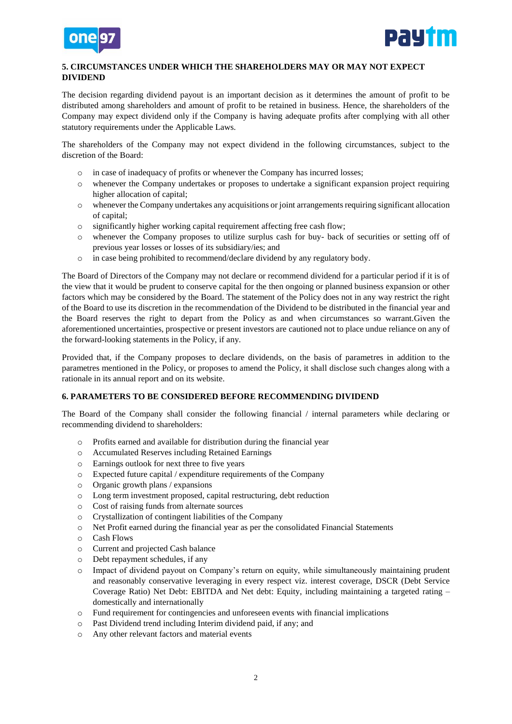



## **5. CIRCUMSTANCES UNDER WHICH THE SHAREHOLDERS MAY OR MAY NOT EXPECT DIVIDEND**

The decision regarding dividend payout is an important decision as it determines the amount of profit to be distributed among shareholders and amount of profit to be retained in business. Hence, the shareholders of the Company may expect dividend only if the Company is having adequate profits after complying with all other statutory requirements under the Applicable Laws.

The shareholders of the Company may not expect dividend in the following circumstances, subject to the discretion of the Board:

- o in case of inadequacy of profits or whenever the Company has incurred losses;
- o whenever the Company undertakes or proposes to undertake a significant expansion project requiring higher allocation of capital;
- o whenever the Company undertakes any acquisitions or joint arrangements requiring significant allocation of capital;
- o significantly higher working capital requirement affecting free cash flow;
- o whenever the Company proposes to utilize surplus cash for buy- back of securities or setting off of previous year losses or losses of its subsidiary/ies; and
- o in case being prohibited to recommend/declare dividend by any regulatory body.

The Board of Directors of the Company may not declare or recommend dividend for a particular period if it is of the view that it would be prudent to conserve capital for the then ongoing or planned business expansion or other factors which may be considered by the Board. The statement of the Policy does not in any way restrict the right of the Board to use its discretion in the recommendation of the Dividend to be distributed in the financial year and the Board reserves the right to depart from the Policy as and when circumstances so warrant.Given the aforementioned uncertainties, prospective or present investors are cautioned not to place undue reliance on any of the forward-looking statements in the Policy, if any.

Provided that, if the Company proposes to declare dividends, on the basis of parametres in addition to the parametres mentioned in the Policy, or proposes to amend the Policy, it shall disclose such changes along with a rationale in its annual report and on its website.

#### **6. PARAMETERS TO BE CONSIDERED BEFORE RECOMMENDING DIVIDEND**

The Board of the Company shall consider the following financial / internal parameters while declaring or recommending dividend to shareholders:

- o Profits earned and available for distribution during the financial year
- o Accumulated Reserves including Retained Earnings
- o Earnings outlook for next three to five years
- o Expected future capital / expenditure requirements of the Company
- o Organic growth plans / expansions
- o Long term investment proposed, capital restructuring, debt reduction
- o Cost of raising funds from alternate sources
- o Crystallization of contingent liabilities of the Company
- o Net Profit earned during the financial year as per the consolidated Financial Statements
- o Cash Flows
- o Current and projected Cash balance
- o Debt repayment schedules, if any
- o Impact of dividend payout on Company's return on equity, while simultaneously maintaining prudent and reasonably conservative leveraging in every respect viz. interest coverage, DSCR (Debt Service Coverage Ratio) Net Debt: EBITDA and Net debt: Equity, including maintaining a targeted rating – domestically and internationally
- o Fund requirement for contingencies and unforeseen events with financial implications
- o Past Dividend trend including Interim dividend paid, if any; and
- o Any other relevant factors and material events